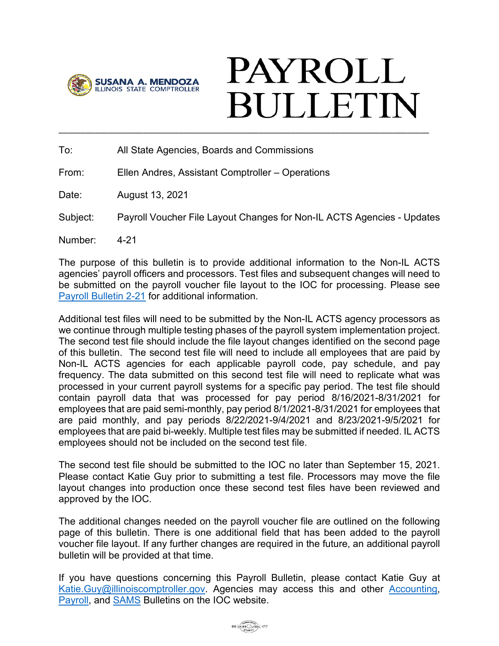

# **PAYROLL BULLETIN** \_\_\_\_\_\_\_\_\_\_\_\_\_\_\_\_\_\_\_\_\_\_\_\_\_\_\_\_\_\_\_\_\_\_\_\_\_\_\_\_\_\_\_\_\_\_\_\_\_\_\_\_\_\_\_\_\_\_\_\_\_\_\_\_\_\_\_\_\_\_\_\_\_\_\_\_\_\_\_\_\_\_\_

To: All State Agencies, Boards and Commissions

From: Ellen Andres, Assistant Comptroller – Operations

Date: August 13, 2021

Subject: Payroll Voucher File Layout Changes for Non-IL ACTS Agencies - Updates

Number: 4-21

The purpose of this bulletin is to provide additional information to the Non-IL ACTS agencies' payroll officers and processors. Test files and subsequent changes will need to be submitted on the payroll voucher file layout to the IOC for processing. Please see [Payroll Bulletin 2-21](https://illinoiscomptroller.gov/comptroller/cache/file/6CFCA4FF-B72C-7083-41AC955582EC97D9.pdf) for additional information.

Additional test files will need to be submitted by the Non-IL ACTS agency processors as we continue through multiple testing phases of the payroll system implementation project. The second test file should include the file layout changes identified on the second page of this bulletin. The second test file will need to include all employees that are paid by Non-IL ACTS agencies for each applicable payroll code, pay schedule, and pay frequency. The data submitted on this second test file will need to replicate what was processed in your current payroll systems for a specific pay period. The test file should contain payroll data that was processed for pay period 8/16/2021-8/31/2021 for employees that are paid semi-monthly, pay period 8/1/2021-8/31/2021 for employees that are paid monthly, and pay periods 8/22/2021-9/4/2021 and 8/23/2021-9/5/2021 for employees that are paid bi-weekly. Multiple test files may be submitted if needed. IL ACTS employees should not be included on the second test file.

The second test file should be submitted to the IOC no later than September 15, 2021. Please contact Katie Guy prior to submitting a test file. Processors may move the file layout changes into production once these second test files have been reviewed and approved by the IOC.

The additional changes needed on the payroll voucher file are outlined on the following page of this bulletin. There is one additional field that has been added to the payroll voucher file layout. If any further changes are required in the future, an additional payroll bulletin will be provided at that time.

If you have questions concerning this Payroll Bulletin, please contact Katie Guy at [Katie.Guy@illinoiscomptroller.gov.](mailto:Katie.Guy@illinoiscomptroller.gov) Agencies may access this and other [Accounting,](https://illinoiscomptroller.gov/agencies/resource-library/accounting-bulletins/) [Payroll,](https://illinoiscomptroller.gov/agencies/resource-library/payroll-bulletins/) and [SAMS](https://illinoiscomptroller.gov/agencies/sams/sams-procedure-bulletins/) Bulletins on the IOC website.